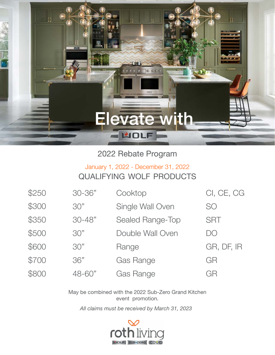

2022 Rebate Program

## qualifying wolf products January 1, 2022 - December 31, 2022

| \$250 | 30-36"     | Cooktop          | CI, CE, CG |
|-------|------------|------------------|------------|
| \$300 | 30"        | Single Wall Oven | <b>SO</b>  |
| \$350 | $30 - 48"$ | Sealed Range-Top | <b>SRT</b> |
| \$500 | 30"        | Double Wall Oven | DO         |
| \$600 | 30"        | Range            | GR, DF, IR |
| \$700 | 36"        | <b>Gas Range</b> | GR         |
| \$800 | 48-60"     | <b>Gas Range</b> | GR         |

May be combined with the 2022 Sub-Zero Grand Kitchen event promotion.

*All claims must be received by March 31, 2023*